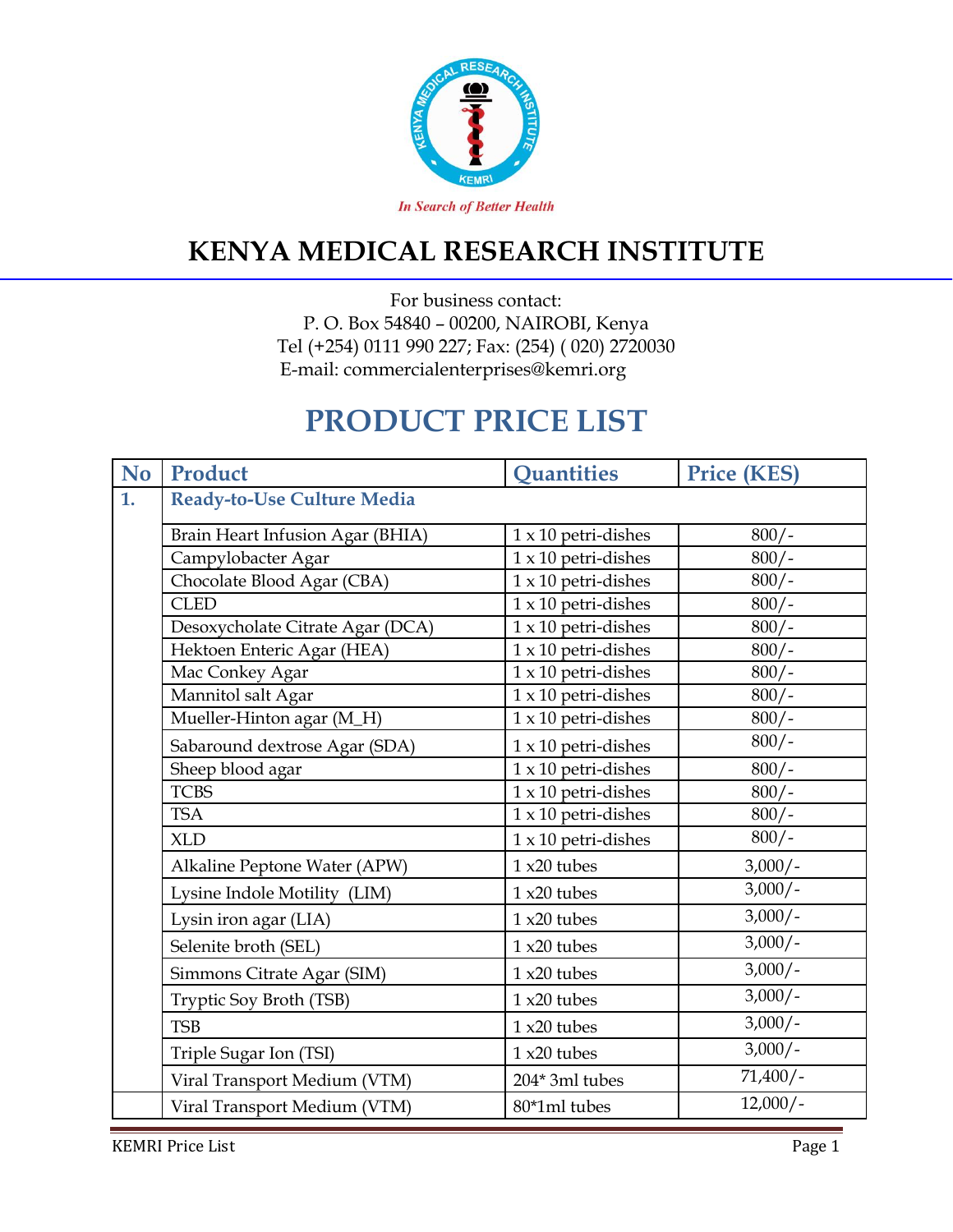

#### **KENYA MEDICAL RESEARCH INSTITUTE**

For business contact: P. O. Box 54840 – 00200, NAIROBI, Kenya Tel (+254) 0111 990 227; Fax: (254) ( 020) 2720030 E-mail: commercialenterprises@kemri.org

# **PRODUCT PRICE LIST**

| <b>No</b> | Product                          | <b>Ouantities</b>                     | <b>Price (KES)</b> |
|-----------|----------------------------------|---------------------------------------|--------------------|
| 1.        | Ready-to-Use Culture Media       |                                       |                    |
|           | Brain Heart Infusion Agar (BHIA) | $1 \times 10$ petri-dishes            | $800/-$            |
|           | Campylobacter Agar               | $1 \times 10$ petri-dishes            | $800/-$            |
|           | Chocolate Blood Agar (CBA)       | $1 \times 10$ petri-dishes            | $800/-$            |
|           | <b>CLED</b>                      | $1 \times 10$ petri-dishes            | $800/-$            |
|           | Desoxycholate Citrate Agar (DCA) | $1 \times 10$ petri-dishes            | $800/-$            |
|           | Hektoen Enteric Agar (HEA)       | $1 \times 10$ petri-dishes            | $800/-$            |
|           | Mac Conkey Agar                  | $1\times10$ petri-dishes              | $800/-$            |
|           | Mannitol salt Agar               | $1\times10$ petri-dishes              | $800/-$            |
|           | Mueller-Hinton agar (M_H)        | $1 \times 10$ petri-dishes            | $800/-$            |
|           | Sabaround dextrose Agar (SDA)    | $1 \times 10$ petri-dishes            | $800/-$            |
|           | Sheep blood agar                 | $1 \times 10$ petri-dishes            | $800/-$            |
|           | <b>TCBS</b>                      | $1 \times 10$ petri-dishes            | $800/-$            |
|           | <b>TSA</b>                       | $\overline{1 \times 10}$ petri-dishes | $800/-$            |
|           | <b>XLD</b>                       | $1 \times 10$ petri-dishes            | $800/-$            |
|           | Alkaline Peptone Water (APW)     | $1x20$ tubes                          | $3,000/-$          |
|           | Lysine Indole Motility (LIM)     | $1x20$ tubes                          | $3,000/-$          |
|           | Lysin iron agar (LIA)            | $1x20$ tubes                          | $3,000/-$          |
|           | Selenite broth (SEL)             | $1x20$ tubes                          | $3,000/-$          |
|           | Simmons Citrate Agar (SIM)       | $1x20$ tubes                          | $3,000/-$          |
|           | Tryptic Soy Broth (TSB)          | $1x20$ tubes                          | $3,000/-$          |
|           | <b>TSB</b>                       | $1x20$ tubes                          | $3,000/-$          |
|           | Triple Sugar Ion (TSI)           | $1x20$ tubes                          | $\frac{3,000}{-}$  |
|           | Viral Transport Medium (VTM)     | 204* 3ml tubes                        | $71,400/-$         |
|           | Viral Transport Medium (VTM)     | 80*1ml tubes                          | $12,000/-$         |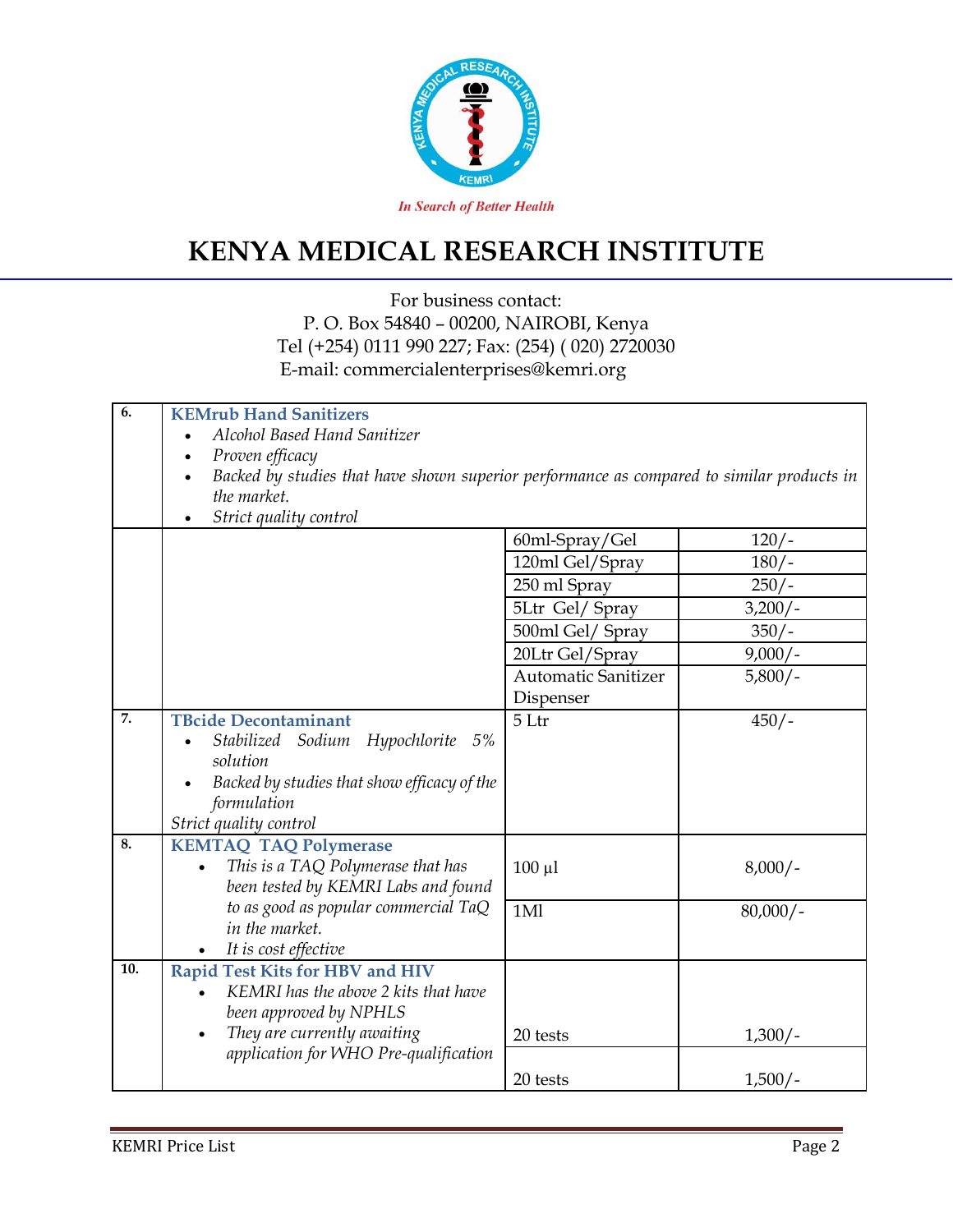

## **KENYA MEDICAL RESEARCH INSTITUTE**

#### For business contact: P. O. Box 54840 – 00200, NAIROBI, Kenya Tel (+254) 0111 990 227; Fax: (254) ( 020) 2720030 E-mail: commercialenterprises@kemri.org

| 6.                | <b>KEMrub Hand Sanitizers</b>                                                                          |                            |            |  |  |
|-------------------|--------------------------------------------------------------------------------------------------------|----------------------------|------------|--|--|
|                   | Alcohol Based Hand Sanitizer<br>$\bullet$                                                              |                            |            |  |  |
|                   | Proven efficacy<br>$\bullet$                                                                           |                            |            |  |  |
|                   | Backed by studies that have shown superior performance as compared to similar products in<br>$\bullet$ |                            |            |  |  |
|                   | the market.                                                                                            |                            |            |  |  |
|                   | Strict quality control<br>$\bullet$                                                                    |                            |            |  |  |
|                   |                                                                                                        | 60ml-Spray/Gel             | $120/-$    |  |  |
|                   |                                                                                                        | 120ml Gel/Spray            | $180/-$    |  |  |
|                   |                                                                                                        | 250 ml Spray               | $250/-$    |  |  |
|                   |                                                                                                        | 5Ltr Gel/ Spray            | $3,200/-$  |  |  |
|                   |                                                                                                        | 500ml Gel/ Spray           | $350/-$    |  |  |
|                   |                                                                                                        | 20Ltr Gel/Spray            | $9,000/-$  |  |  |
|                   |                                                                                                        | <b>Automatic Sanitizer</b> | $5,800/-$  |  |  |
|                   |                                                                                                        | Dispenser                  |            |  |  |
| $\overline{7}$ .  | <b>TBcide Decontaminant</b>                                                                            | 5 Ltr                      | $450/-$    |  |  |
|                   | Hypochlorite 5%<br>Stabilized Sodium                                                                   |                            |            |  |  |
|                   | solution                                                                                               |                            |            |  |  |
|                   | Backed by studies that show efficacy of the<br>$\bullet$                                               |                            |            |  |  |
|                   | formulation                                                                                            |                            |            |  |  |
|                   | Strict quality control                                                                                 |                            |            |  |  |
| 8.                | <b>KEMTAQ TAQ Polymerase</b>                                                                           |                            |            |  |  |
|                   | This is a TAQ Polymerase that has                                                                      | $100 \mu l$                | $8,000/-$  |  |  |
|                   | been tested by KEMRI Labs and found                                                                    |                            |            |  |  |
|                   | to as good as popular commercial TaQ                                                                   | 1Ml                        | $80,000/-$ |  |  |
|                   | in the market.                                                                                         |                            |            |  |  |
|                   | It is cost effective                                                                                   |                            |            |  |  |
| $\overline{10}$ . | <b>Rapid Test Kits for HBV and HIV</b>                                                                 |                            |            |  |  |
|                   | KEMRI has the above 2 kits that have                                                                   |                            |            |  |  |
|                   | been approved by NPHLS                                                                                 |                            |            |  |  |
|                   | They are currently awaiting<br>$\bullet$                                                               | 20 tests                   | $1,300/-$  |  |  |
|                   | application for WHO Pre-qualification                                                                  |                            |            |  |  |
|                   |                                                                                                        | 20 tests                   | $1,500/-$  |  |  |